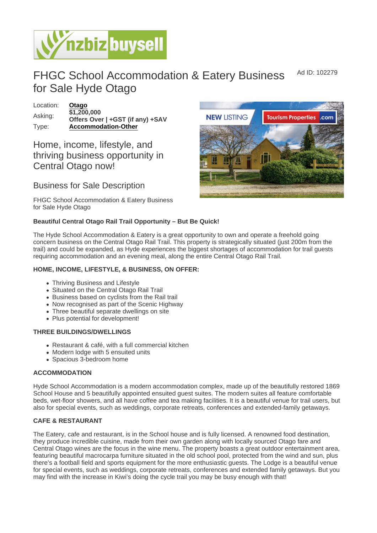Ad ID: 102279

# FHGC School Accommodation & Eatery Business for Sale Hyde Otago

Location: [Otago](https://www.nzbizbuysell.co.nz/businesses-for-sale/location/Otago) Asking:  $\overline{$1,200,000}$ Offers Over | +GST (if any) +SAV Type: [Accommodation-Other](https://www.nzbizbuysell.co.nz/businesses-for-sale/Accommodation-Other/New-Zealand)

## Home, income, lifestyle, and thriving business opportunity in Central Otago now!

### Business for Sale Description

FHGC School Accommodation & Eatery Business for Sale Hyde Otago

Beautiful Central Otago Rail Trail Opportunity – But Be Quick!

The Hyde School Accommodation & Eatery is a great opportunity to own and operate a freehold going concern business on the Central Otago Rail Trail. This property is strategically situated (just 200m from the trail) and could be expanded, as Hyde experiences the biggest shortages of accommodation for trail guests requiring accommodation and an evening meal, along the entire Central Otago Rail Trail.

HOME, INCOME, LIFESTYLE, & BUSINESS, ON OFFER:

- Thriving Business and Lifestyle
- Situated on the Central Otago Rail Trail
- Business based on cyclists from the Rail trail
- Now recognised as part of the Scenic Highway
- Three beautiful separate dwellings on site
- Plus potential for development!

#### THREE BUILDINGS/DWELLINGS

- Restaurant & café, with a full commercial kitchen
- Modern lodge with 5 ensuited units
- Spacious 3-bedroom home

#### ACCOMMODATION

Hyde School Accommodation is a modern accommodation complex, made up of the beautifully restored 1869 School House and 5 beautifully appointed ensuited guest suites. The modern suites all feature comfortable beds, wet-floor showers, and all have coffee and tea making facilities. It is a beautiful venue for trail users, but also for special events, such as weddings, corporate retreats, conferences and extended-family getaways.

#### CAFE & RESTAURANT

The Eatery, cafe and restaurant, is in the School house and is fully licensed. A renowned food destination, they produce incredible cuisine, made from their own garden along with locally sourced Otago fare and Central Otago wines are the focus in the wine menu. The property boasts a great outdoor entertainment area, featuring beautiful macrocarpa furniture situated in the old school pool, protected from the wind and sun, plus there's a football field and sports equipment for the more enthusiastic guests. The Lodge is a beautiful venue for special events, such as weddings, corporate retreats, conferences and extended family getaways. But you may find with the increase in Kiwi's doing the cycle trail you may be busy enough with that!